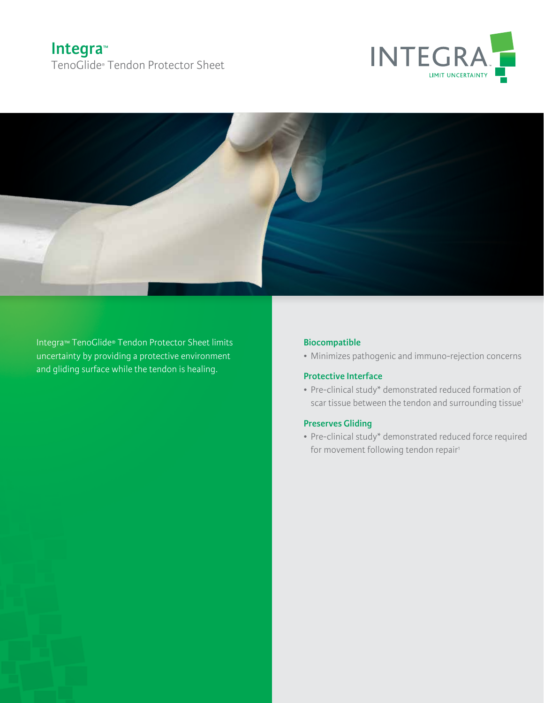# **Integra™** TenoGlide® Tendon Protector Sheet





Integra™ TenoGlide® Tendon Protector Sheet limits uncertainty by providing a protective environment and gliding surface while the tendon is healing.

## **Biocompatible**

• Minimizes pathogenic and immuno-rejection concerns

## **Protective Interface**

• Pre-clinical study\* demonstrated reduced formation of scar tissue between the tendon and surrounding tissue<sup>1</sup>

### **Preserves Gliding**

• Pre-clinical study\* demonstrated reduced force required for movement following tendon repair<sup>1</sup>